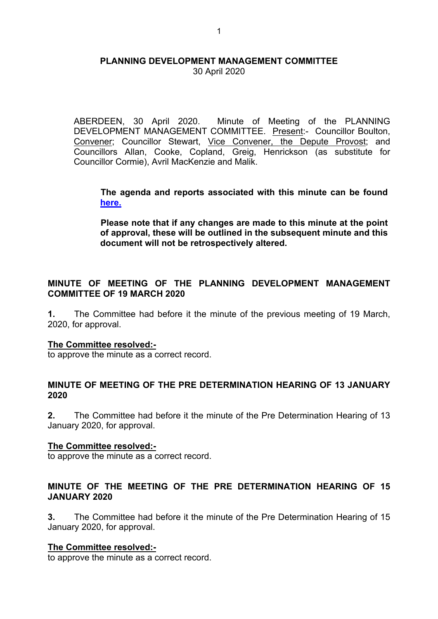30 April 2020

ABERDEEN, 30 April 2020. Minute of Meeting of the PLANNING DEVELOPMENT MANAGEMENT COMMITTEE. Present:- Councillor Boulton, Convener; Councillor Stewart, Vice Convener, the Depute Provost; and Councillors Allan, Cooke, Copland, Greig, Henrickson (as substitute for Councillor Cormie), Avril MacKenzie and Malik.

**The agenda and reports associated with this minute can be found [here.](https://committees.aberdeencity.gov.uk/ieListDocuments.aspx?CId=348&MId=7091&Ver=4)** 

**Please note that if any changes are made to this minute at the point of approval, these will be outlined in the subsequent minute and this document will not be retrospectively altered.**

# **MINUTE OF MEETING OF THE PLANNING DEVELOPMENT MANAGEMENT COMMITTEE OF 19 MARCH 2020**

**1.** The Committee had before it the minute of the previous meeting of 19 March, 2020, for approval.

## **The Committee resolved:-**

to approve the minute as a correct record.

## **MINUTE OF MEETING OF THE PRE DETERMINATION HEARING OF 13 JANUARY 2020**

**2.** The Committee had before it the minute of the Pre Determination Hearing of 13 January 2020, for approval.

## **The Committee resolved:-**

to approve the minute as a correct record.

# **MINUTE OF THE MEETING OF THE PRE DETERMINATION HEARING OF 15 JANUARY 2020**

**3.** The Committee had before it the minute of the Pre Determination Hearing of 15 January 2020, for approval.

## **The Committee resolved:-**

to approve the minute as a correct record.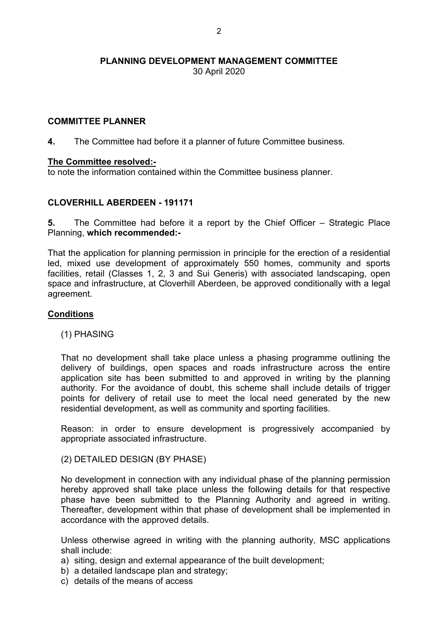30 April 2020

## **COMMITTEE PLANNER**

**4.** The Committee had before it a planner of future Committee business.

#### **The Committee resolved:-**

to note the information contained within the Committee business planner.

## **CLOVERHILL ABERDEEN - 191171**

**5.** The Committee had before it a report by the Chief Officer – Strategic Place Planning, **which recommended:-**

That the application for planning permission in principle for the erection of a residential led, mixed use development of approximately 550 homes, community and sports facilities, retail (Classes 1, 2, 3 and Sui Generis) with associated landscaping, open space and infrastructure, at Cloverhill Aberdeen, be approved conditionally with a legal agreement.

#### **Conditions**

#### (1) PHASING

That no development shall take place unless a phasing programme outlining the delivery of buildings, open spaces and roads infrastructure across the entire application site has been submitted to and approved in writing by the planning authority. For the avoidance of doubt, this scheme shall include details of trigger points for delivery of retail use to meet the local need generated by the new residential development, as well as community and sporting facilities.

Reason: in order to ensure development is progressively accompanied by appropriate associated infrastructure.

#### (2) DETAILED DESIGN (BY PHASE)

No development in connection with any individual phase of the planning permission hereby approved shall take place unless the following details for that respective phase have been submitted to the Planning Authority and agreed in writing. Thereafter, development within that phase of development shall be implemented in accordance with the approved details.

Unless otherwise agreed in writing with the planning authority, MSC applications shall include:

- a) siting, design and external appearance of the built development;
- b) a detailed landscape plan and strategy;
- c) details of the means of access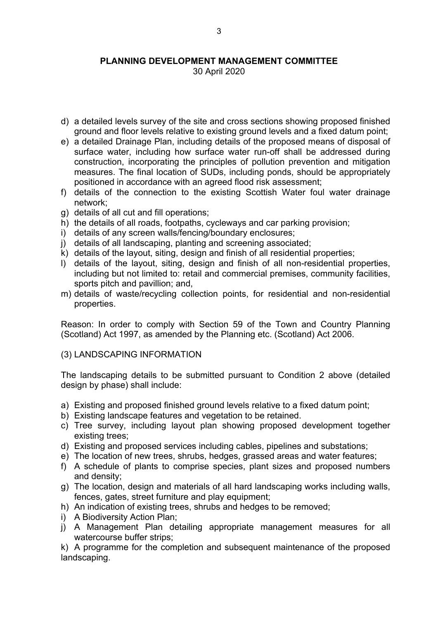30 April 2020

- d) a detailed levels survey of the site and cross sections showing proposed finished ground and floor levels relative to existing ground levels and a fixed datum point;
- e) a detailed Drainage Plan, including details of the proposed means of disposal of surface water, including how surface water run-off shall be addressed during construction, incorporating the principles of pollution prevention and mitigation measures. The final location of SUDs, including ponds, should be appropriately positioned in accordance with an agreed flood risk assessment;
- f) details of the connection to the existing Scottish Water foul water drainage network;
- g) details of all cut and fill operations;
- h) the details of all roads, footpaths, cycleways and car parking provision;
- i) details of any screen walls/fencing/boundary enclosures;
- j) details of all landscaping, planting and screening associated;
- k) details of the layout, siting, design and finish of all residential properties;
- l) details of the layout, siting, design and finish of all non-residential properties, including but not limited to: retail and commercial premises, community facilities, sports pitch and pavillion; and,
- m) details of waste/recycling collection points, for residential and non-residential properties.

Reason: In order to comply with Section 59 of the Town and Country Planning (Scotland) Act 1997, as amended by the Planning etc. (Scotland) Act 2006.

#### (3) LANDSCAPING INFORMATION

The landscaping details to be submitted pursuant to Condition 2 above (detailed design by phase) shall include:

- a) Existing and proposed finished ground levels relative to a fixed datum point;
- b) Existing landscape features and vegetation to be retained.
- c) Tree survey, including layout plan showing proposed development together existing trees;
- d) Existing and proposed services including cables, pipelines and substations;
- e) The location of new trees, shrubs, hedges, grassed areas and water features;
- f) A schedule of plants to comprise species, plant sizes and proposed numbers and density;
- g) The location, design and materials of all hard landscaping works including walls, fences, gates, street furniture and play equipment;
- h) An indication of existing trees, shrubs and hedges to be removed;
- i) A Biodiversity Action Plan;
- j) A Management Plan detailing appropriate management measures for all watercourse buffer strips;

k) A programme for the completion and subsequent maintenance of the proposed landscaping.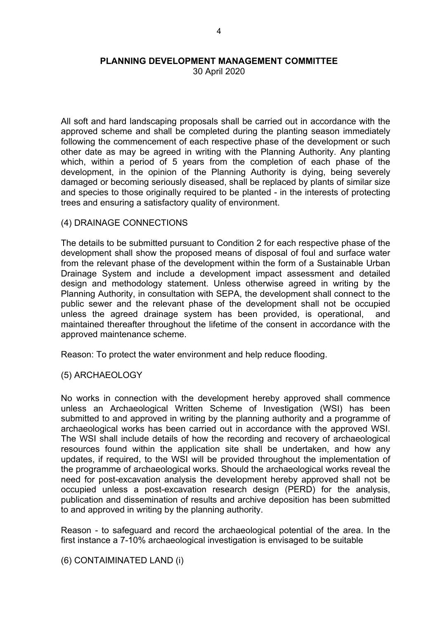30 April 2020

All soft and hard landscaping proposals shall be carried out in accordance with the approved scheme and shall be completed during the planting season immediately following the commencement of each respective phase of the development or such other date as may be agreed in writing with the Planning Authority. Any planting which, within a period of 5 years from the completion of each phase of the development, in the opinion of the Planning Authority is dying, being severely damaged or becoming seriously diseased, shall be replaced by plants of similar size and species to those originally required to be planted - in the interests of protecting trees and ensuring a satisfactory quality of environment.

#### (4) DRAINAGE CONNECTIONS

The details to be submitted pursuant to Condition 2 for each respective phase of the development shall show the proposed means of disposal of foul and surface water from the relevant phase of the development within the form of a Sustainable Urban Drainage System and include a development impact assessment and detailed design and methodology statement. Unless otherwise agreed in writing by the Planning Authority, in consultation with SEPA, the development shall connect to the public sewer and the relevant phase of the development shall not be occupied unless the agreed drainage system has been provided, is operational, and maintained thereafter throughout the lifetime of the consent in accordance with the approved maintenance scheme.

Reason: To protect the water environment and help reduce flooding.

(5) ARCHAEOLOGY

No works in connection with the development hereby approved shall commence unless an Archaeological Written Scheme of Investigation (WSI) has been submitted to and approved in writing by the planning authority and a programme of archaeological works has been carried out in accordance with the approved WSI. The WSI shall include details of how the recording and recovery of archaeological resources found within the application site shall be undertaken, and how any updates, if required, to the WSI will be provided throughout the implementation of the programme of archaeological works. Should the archaeological works reveal the need for post-excavation analysis the development hereby approved shall not be occupied unless a post-excavation research design (PERD) for the analysis, publication and dissemination of results and archive deposition has been submitted to and approved in writing by the planning authority.

Reason - to safeguard and record the archaeological potential of the area. In the first instance a 7-10% archaeological investigation is envisaged to be suitable

(6) CONTAIMINATED LAND (i)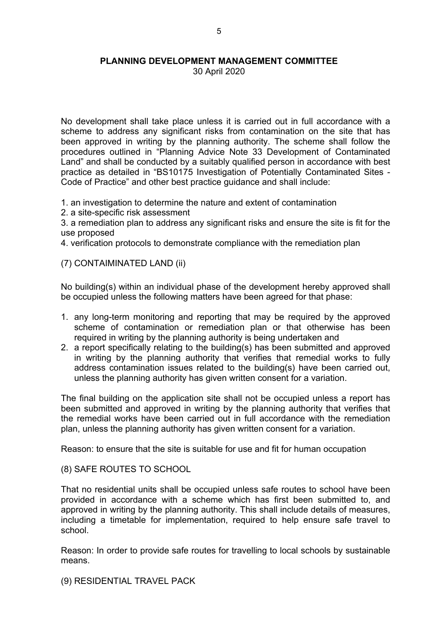30 April 2020

No development shall take place unless it is carried out in full accordance with a scheme to address any significant risks from contamination on the site that has been approved in writing by the planning authority. The scheme shall follow the procedures outlined in "Planning Advice Note 33 Development of Contaminated Land" and shall be conducted by a suitably qualified person in accordance with best practice as detailed in "BS10175 Investigation of Potentially Contaminated Sites - Code of Practice" and other best practice guidance and shall include:

1. an investigation to determine the nature and extent of contamination

2. a site-specific risk assessment

3. a remediation plan to address any significant risks and ensure the site is fit for the use proposed

4. verification protocols to demonstrate compliance with the remediation plan

(7) CONTAIMINATED LAND (ii)

No building(s) within an individual phase of the development hereby approved shall be occupied unless the following matters have been agreed for that phase:

- 1. any long-term monitoring and reporting that may be required by the approved scheme of contamination or remediation plan or that otherwise has been required in writing by the planning authority is being undertaken and
- 2. a report specifically relating to the building(s) has been submitted and approved in writing by the planning authority that verifies that remedial works to fully address contamination issues related to the building(s) have been carried out, unless the planning authority has given written consent for a variation.

The final building on the application site shall not be occupied unless a report has been submitted and approved in writing by the planning authority that verifies that the remedial works have been carried out in full accordance with the remediation plan, unless the planning authority has given written consent for a variation.

Reason: to ensure that the site is suitable for use and fit for human occupation

(8) SAFE ROUTES TO SCHOOL

That no residential units shall be occupied unless safe routes to school have been provided in accordance with a scheme which has first been submitted to, and approved in writing by the planning authority. This shall include details of measures, including a timetable for implementation, required to help ensure safe travel to school.

Reason: In order to provide safe routes for travelling to local schools by sustainable means.

(9) RESIDENTIAL TRAVEL PACK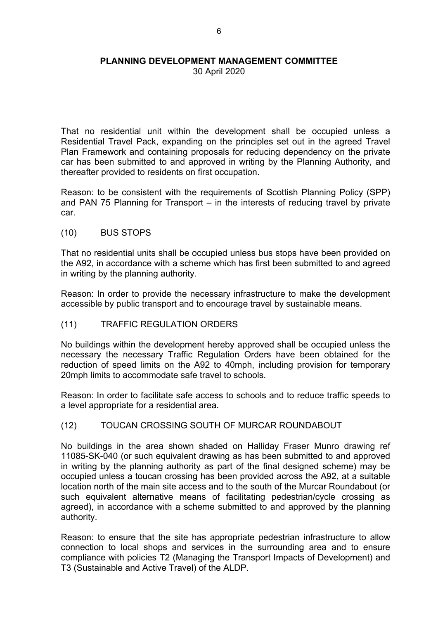30 April 2020

That no residential unit within the development shall be occupied unless a Residential Travel Pack, expanding on the principles set out in the agreed Travel Plan Framework and containing proposals for reducing dependency on the private car has been submitted to and approved in writing by the Planning Authority, and thereafter provided to residents on first occupation.

Reason: to be consistent with the requirements of Scottish Planning Policy (SPP) and PAN 75 Planning for Transport – in the interests of reducing travel by private car.

#### (10) BUS STOPS

That no residential units shall be occupied unless bus stops have been provided on the A92, in accordance with a scheme which has first been submitted to and agreed in writing by the planning authority.

Reason: In order to provide the necessary infrastructure to make the development accessible by public transport and to encourage travel by sustainable means.

## (11) TRAFFIC REGULATION ORDERS

No buildings within the development hereby approved shall be occupied unless the necessary the necessary Traffic Regulation Orders have been obtained for the reduction of speed limits on the A92 to 40mph, including provision for temporary 20mph limits to accommodate safe travel to schools.

Reason: In order to facilitate safe access to schools and to reduce traffic speeds to a level appropriate for a residential area.

## (12) TOUCAN CROSSING SOUTH OF MURCAR ROUNDABOUT

No buildings in the area shown shaded on Halliday Fraser Munro drawing ref 11085-SK-040 (or such equivalent drawing as has been submitted to and approved in writing by the planning authority as part of the final designed scheme) may be occupied unless a toucan crossing has been provided across the A92, at a suitable location north of the main site access and to the south of the Murcar Roundabout (or such equivalent alternative means of facilitating pedestrian/cycle crossing as agreed), in accordance with a scheme submitted to and approved by the planning authority.

Reason: to ensure that the site has appropriate pedestrian infrastructure to allow connection to local shops and services in the surrounding area and to ensure compliance with policies T2 (Managing the Transport Impacts of Development) and T3 (Sustainable and Active Travel) of the ALDP.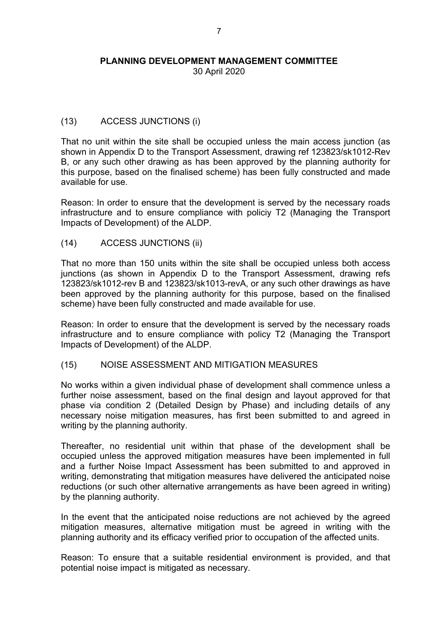30 April 2020

# (13) ACCESS JUNCTIONS (i)

That no unit within the site shall be occupied unless the main access junction (as shown in Appendix D to the Transport Assessment, drawing ref 123823/sk1012-Rev B, or any such other drawing as has been approved by the planning authority for this purpose, based on the finalised scheme) has been fully constructed and made available for use.

Reason: In order to ensure that the development is served by the necessary roads infrastructure and to ensure compliance with policiy T2 (Managing the Transport Impacts of Development) of the ALDP.

(14) ACCESS JUNCTIONS (ii)

That no more than 150 units within the site shall be occupied unless both access junctions (as shown in Appendix D to the Transport Assessment, drawing refs 123823/sk1012-rev B and 123823/sk1013-revA, or any such other drawings as have been approved by the planning authority for this purpose, based on the finalised scheme) have been fully constructed and made available for use.

Reason: In order to ensure that the development is served by the necessary roads infrastructure and to ensure compliance with policy T2 (Managing the Transport Impacts of Development) of the ALDP.

## (15) NOISE ASSESSMENT AND MITIGATION MEASURES

No works within a given individual phase of development shall commence unless a further noise assessment, based on the final design and layout approved for that phase via condition 2 (Detailed Design by Phase) and including details of any necessary noise mitigation measures, has first been submitted to and agreed in writing by the planning authority.

Thereafter, no residential unit within that phase of the development shall be occupied unless the approved mitigation measures have been implemented in full and a further Noise Impact Assessment has been submitted to and approved in writing, demonstrating that mitigation measures have delivered the anticipated noise reductions (or such other alternative arrangements as have been agreed in writing) by the planning authority.

In the event that the anticipated noise reductions are not achieved by the agreed mitigation measures, alternative mitigation must be agreed in writing with the planning authority and its efficacy verified prior to occupation of the affected units.

Reason: To ensure that a suitable residential environment is provided, and that potential noise impact is mitigated as necessary.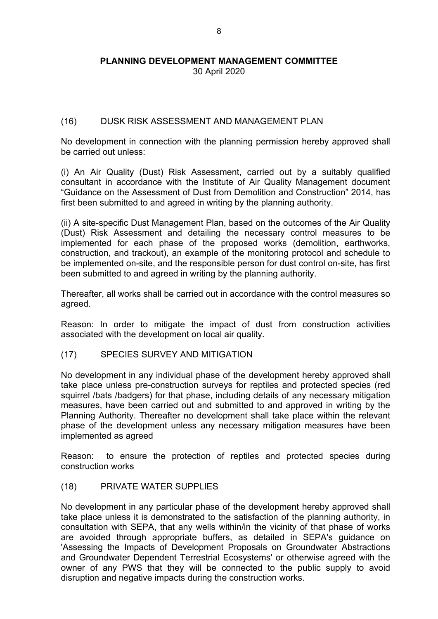30 April 2020

# (16) DUSK RISK ASSESSMENT AND MANAGEMENT PLAN

No development in connection with the planning permission hereby approved shall be carried out unless:

(i) An Air Quality (Dust) Risk Assessment, carried out by a suitably qualified consultant in accordance with the Institute of Air Quality Management document "Guidance on the Assessment of Dust from Demolition and Construction" 2014, has first been submitted to and agreed in writing by the planning authority.

(ii) A site-specific Dust Management Plan, based on the outcomes of the Air Quality (Dust) Risk Assessment and detailing the necessary control measures to be implemented for each phase of the proposed works (demolition, earthworks, construction, and trackout), an example of the monitoring protocol and schedule to be implemented on-site, and the responsible person for dust control on-site, has first been submitted to and agreed in writing by the planning authority.

Thereafter, all works shall be carried out in accordance with the control measures so agreed.

Reason: In order to mitigate the impact of dust from construction activities associated with the development on local air quality.

(17) SPECIES SURVEY AND MITIGATION

No development in any individual phase of the development hereby approved shall take place unless pre-construction surveys for reptiles and protected species (red squirrel /bats /badgers) for that phase, including details of any necessary mitigation measures, have been carried out and submitted to and approved in writing by the Planning Authority. Thereafter no development shall take place within the relevant phase of the development unless any necessary mitigation measures have been implemented as agreed

Reason: to ensure the protection of reptiles and protected species during construction works

(18) PRIVATE WATER SUPPLIES

No development in any particular phase of the development hereby approved shall take place unless it is demonstrated to the satisfaction of the planning authority, in consultation with SEPA, that any wells within/in the vicinity of that phase of works are avoided through appropriate buffers, as detailed in SEPA's guidance on 'Assessing the Impacts of Development Proposals on Groundwater Abstractions and Groundwater Dependent Terrestrial Ecosystems' or otherwise agreed with the owner of any PWS that they will be connected to the public supply to avoid disruption and negative impacts during the construction works.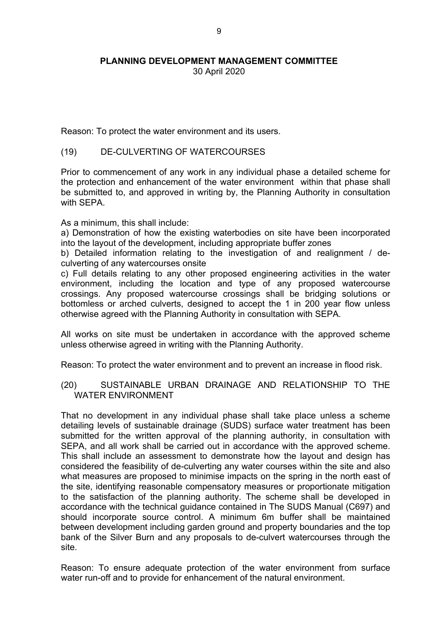30 April 2020

Reason: To protect the water environment and its users.

#### (19) DE-CULVERTING OF WATERCOURSES

Prior to commencement of any work in any individual phase a detailed scheme for the protection and enhancement of the water environment within that phase shall be submitted to, and approved in writing by, the Planning Authority in consultation with SFPA

As a minimum, this shall include:

a) Demonstration of how the existing waterbodies on site have been incorporated into the layout of the development, including appropriate buffer zones

b) Detailed information relating to the investigation of and realignment / deculverting of any watercourses onsite

c) Full details relating to any other proposed engineering activities in the water environment, including the location and type of any proposed watercourse crossings. Any proposed watercourse crossings shall be bridging solutions or bottomless or arched culverts, designed to accept the 1 in 200 year flow unless otherwise agreed with the Planning Authority in consultation with SEPA.

All works on site must be undertaken in accordance with the approved scheme unless otherwise agreed in writing with the Planning Authority.

Reason: To protect the water environment and to prevent an increase in flood risk.

(20) SUSTAINABLE URBAN DRAINAGE AND RELATIONSHIP TO THE WATER ENVIRONMENT

That no development in any individual phase shall take place unless a scheme detailing levels of sustainable drainage (SUDS) surface water treatment has been submitted for the written approval of the planning authority, in consultation with SEPA, and all work shall be carried out in accordance with the approved scheme. This shall include an assessment to demonstrate how the layout and design has considered the feasibility of de-culverting any water courses within the site and also what measures are proposed to minimise impacts on the spring in the north east of the site, identifying reasonable compensatory measures or proportionate mitigation to the satisfaction of the planning authority. The scheme shall be developed in accordance with the technical guidance contained in The SUDS Manual (C697) and should incorporate source control. A minimum 6m buffer shall be maintained between development including garden ground and property boundaries and the top bank of the Silver Burn and any proposals to de-culvert watercourses through the site.

Reason: To ensure adequate protection of the water environment from surface water run-off and to provide for enhancement of the natural environment.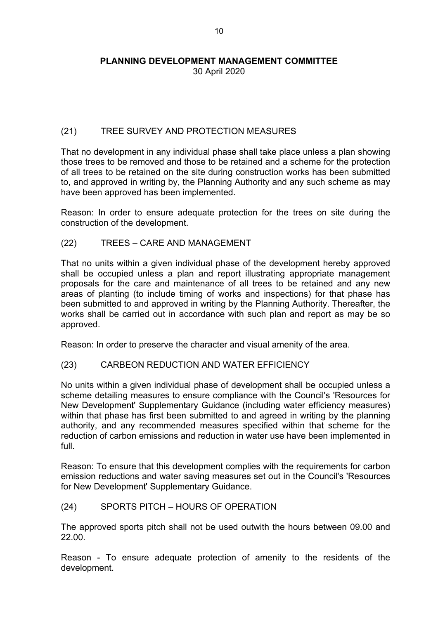30 April 2020

# (21) TREE SURVEY AND PROTECTION MEASURES

That no development in any individual phase shall take place unless a plan showing those trees to be removed and those to be retained and a scheme for the protection of all trees to be retained on the site during construction works has been submitted to, and approved in writing by, the Planning Authority and any such scheme as may have been approved has been implemented.

Reason: In order to ensure adequate protection for the trees on site during the construction of the development.

(22) TREES – CARE AND MANAGEMENT

That no units within a given individual phase of the development hereby approved shall be occupied unless a plan and report illustrating appropriate management proposals for the care and maintenance of all trees to be retained and any new areas of planting (to include timing of works and inspections) for that phase has been submitted to and approved in writing by the Planning Authority. Thereafter, the works shall be carried out in accordance with such plan and report as may be so approved.

Reason: In order to preserve the character and visual amenity of the area.

# (23) CARBEON REDUCTION AND WATER EFFICIENCY

No units within a given individual phase of development shall be occupied unless a scheme detailing measures to ensure compliance with the Council's 'Resources for New Development' Supplementary Guidance (including water efficiency measures) within that phase has first been submitted to and agreed in writing by the planning authority, and any recommended measures specified within that scheme for the reduction of carbon emissions and reduction in water use have been implemented in full.

Reason: To ensure that this development complies with the requirements for carbon emission reductions and water saving measures set out in the Council's 'Resources for New Development' Supplementary Guidance.

# (24) SPORTS PITCH – HOURS OF OPERATION

The approved sports pitch shall not be used outwith the hours between 09.00 and 22.00.

Reason - To ensure adequate protection of amenity to the residents of the development.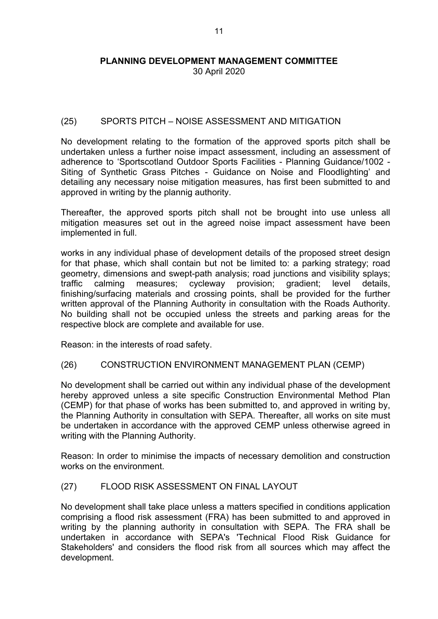# (25) SPORTS PITCH – NOISE ASSESSMENT AND MITIGATION

No development relating to the formation of the approved sports pitch shall be undertaken unless a further noise impact assessment, including an assessment of adherence to 'Sportscotland Outdoor Sports Facilities - Planning Guidance/1002 - Siting of Synthetic Grass Pitches - Guidance on Noise and Floodlighting' and detailing any necessary noise mitigation measures, has first been submitted to and approved in writing by the plannig authority.

Thereafter, the approved sports pitch shall not be brought into use unless all mitigation measures set out in the agreed noise impact assessment have been implemented in full.

works in any individual phase of development details of the proposed street design for that phase, which shall contain but not be limited to: a parking strategy; road geometry, dimensions and swept-path analysis; road junctions and visibility splays; traffic calming measures; cycleway provision; gradient; level details, finishing/surfacing materials and crossing points, shall be provided for the further written approval of the Planning Authority in consultation with the Roads Authority. No building shall not be occupied unless the streets and parking areas for the respective block are complete and available for use.

Reason: in the interests of road safety.

## (26) CONSTRUCTION ENVIRONMENT MANAGEMENT PLAN (CEMP)

No development shall be carried out within any individual phase of the development hereby approved unless a site specific Construction Environmental Method Plan (CEMP) for that phase of works has been submitted to, and approved in writing by, the Planning Authority in consultation with SEPA. Thereafter, all works on site must be undertaken in accordance with the approved CEMP unless otherwise agreed in writing with the Planning Authority.

Reason: In order to minimise the impacts of necessary demolition and construction works on the environment.

## (27) FLOOD RISK ASSESSMENT ON FINAL LAYOUT

No development shall take place unless a matters specified in conditions application comprising a flood risk assessment (FRA) has been submitted to and approved in writing by the planning authority in consultation with SEPA. The FRA shall be undertaken in accordance with SEPA's 'Technical Flood Risk Guidance for Stakeholders' and considers the flood risk from all sources which may affect the development.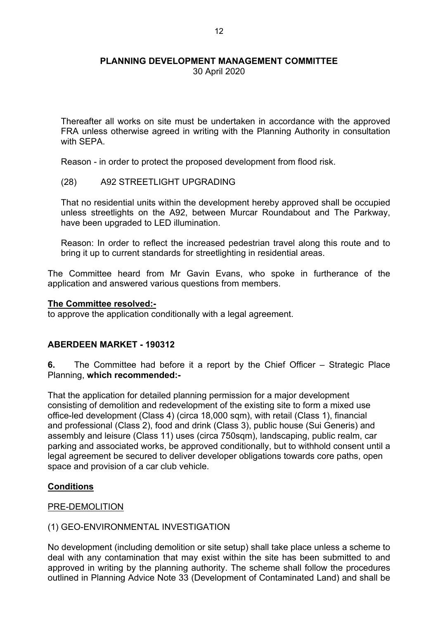30 April 2020

Thereafter all works on site must be undertaken in accordance with the approved FRA unless otherwise agreed in writing with the Planning Authority in consultation with SFPA

Reason - in order to protect the proposed development from flood risk.

(28) A92 STREETLIGHT UPGRADING

That no residential units within the development hereby approved shall be occupied unless streetlights on the A92, between Murcar Roundabout and The Parkway, have been upgraded to LED illumination.

Reason: In order to reflect the increased pedestrian travel along this route and to bring it up to current standards for streetlighting in residential areas.

The Committee heard from Mr Gavin Evans, who spoke in furtherance of the application and answered various questions from members.

#### **The Committee resolved:-**

to approve the application conditionally with a legal agreement.

## **ABERDEEN MARKET - 190312**

**6.** The Committee had before it a report by the Chief Officer – Strategic Place Planning, **which recommended:-**

That the application for detailed planning permission for a major development consisting of demolition and redevelopment of the existing site to form a mixed use office-led development (Class 4) (circa 18,000 sqm), with retail (Class 1), financial and professional (Class 2), food and drink (Class 3), public house (Sui Generis) and assembly and leisure (Class 11) uses (circa 750sqm), landscaping, public realm, car parking and associated works, be approved conditionally, but to withhold consent until a legal agreement be secured to deliver developer obligations towards core paths, open space and provision of a car club vehicle.

## **Conditions**

## PRE-DEMOLITION

## (1) GEO-ENVIRONMENTAL INVESTIGATION

No development (including demolition or site setup) shall take place unless a scheme to deal with any contamination that may exist within the site has been submitted to and approved in writing by the planning authority. The scheme shall follow the procedures outlined in Planning Advice Note 33 (Development of Contaminated Land) and shall be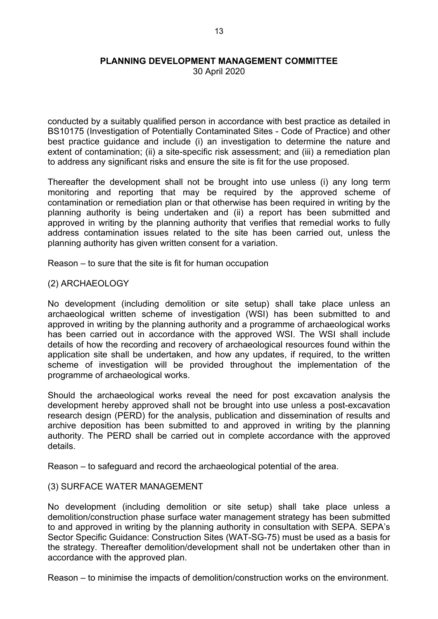30 April 2020

conducted by a suitably qualified person in accordance with best practice as detailed in BS10175 (Investigation of Potentially Contaminated Sites - Code of Practice) and other best practice guidance and include (i) an investigation to determine the nature and extent of contamination; (ii) a site-specific risk assessment; and (iii) a remediation plan to address any significant risks and ensure the site is fit for the use proposed.

Thereafter the development shall not be brought into use unless (i) any long term monitoring and reporting that may be required by the approved scheme of contamination or remediation plan or that otherwise has been required in writing by the planning authority is being undertaken and (ii) a report has been submitted and approved in writing by the planning authority that verifies that remedial works to fully address contamination issues related to the site has been carried out, unless the planning authority has given written consent for a variation.

Reason – to sure that the site is fit for human occupation

## (2) ARCHAEOLOGY

No development (including demolition or site setup) shall take place unless an archaeological written scheme of investigation (WSI) has been submitted to and approved in writing by the planning authority and a programme of archaeological works has been carried out in accordance with the approved WSI. The WSI shall include details of how the recording and recovery of archaeological resources found within the application site shall be undertaken, and how any updates, if required, to the written scheme of investigation will be provided throughout the implementation of the programme of archaeological works.

Should the archaeological works reveal the need for post excavation analysis the development hereby approved shall not be brought into use unless a post-excavation research design (PERD) for the analysis, publication and dissemination of results and archive deposition has been submitted to and approved in writing by the planning authority. The PERD shall be carried out in complete accordance with the approved details.

Reason – to safeguard and record the archaeological potential of the area.

## (3) SURFACE WATER MANAGEMENT

No development (including demolition or site setup) shall take place unless a demolition/construction phase surface water management strategy has been submitted to and approved in writing by the planning authority in consultation with SEPA. SEPA's Sector Specific Guidance: Construction Sites (WAT-SG-75) must be used as a basis for the strategy. Thereafter demolition/development shall not be undertaken other than in accordance with the approved plan.

Reason – to minimise the impacts of demolition/construction works on the environment.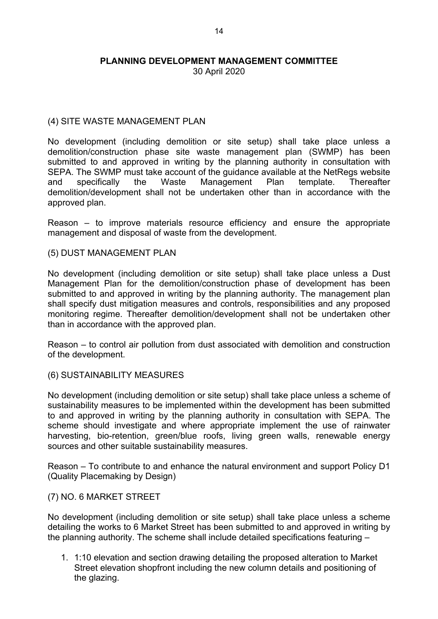30 April 2020

# (4) SITE WASTE MANAGEMENT PLAN

No development (including demolition or site setup) shall take place unless a demolition/construction phase site waste management plan (SWMP) has been submitted to and approved in writing by the planning authority in consultation with SEPA. The SWMP must take account of the guidance available at the NetRegs website and specifically the Waste Management Plan template. Thereafter demolition/development shall not be undertaken other than in accordance with the approved plan.

Reason – to improve materials resource efficiency and ensure the appropriate management and disposal of waste from the development.

## (5) DUST MANAGEMENT PLAN

No development (including demolition or site setup) shall take place unless a Dust Management Plan for the demolition/construction phase of development has been submitted to and approved in writing by the planning authority. The management plan shall specify dust mitigation measures and controls, responsibilities and any proposed monitoring regime. Thereafter demolition/development shall not be undertaken other than in accordance with the approved plan.

Reason – to control air pollution from dust associated with demolition and construction of the development.

## (6) SUSTAINABILITY MEASURES

No development (including demolition or site setup) shall take place unless a scheme of sustainability measures to be implemented within the development has been submitted to and approved in writing by the planning authority in consultation with SEPA. The scheme should investigate and where appropriate implement the use of rainwater harvesting, bio-retention, green/blue roofs, living green walls, renewable energy sources and other suitable sustainability measures.

Reason – To contribute to and enhance the natural environment and support Policy D1 (Quality Placemaking by Design)

## (7) NO. 6 MARKET STREET

No development (including demolition or site setup) shall take place unless a scheme detailing the works to 6 Market Street has been submitted to and approved in writing by the planning authority. The scheme shall include detailed specifications featuring –

1. 1:10 elevation and section drawing detailing the proposed alteration to Market Street elevation shopfront including the new column details and positioning of the glazing.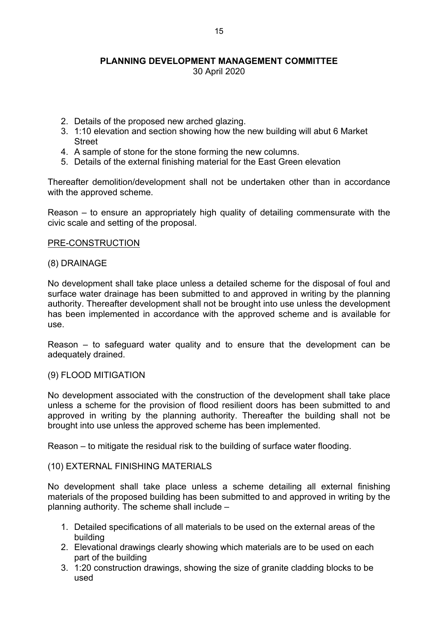30 April 2020

- 2. Details of the proposed new arched glazing.
- 3. 1:10 elevation and section showing how the new building will abut 6 Market Street
- 4. A sample of stone for the stone forming the new columns.
- 5. Details of the external finishing material for the East Green elevation

Thereafter demolition/development shall not be undertaken other than in accordance with the approved scheme.

Reason – to ensure an appropriately high quality of detailing commensurate with the civic scale and setting of the proposal.

#### PRE-CONSTRUCTION

#### (8) DRAINAGE

No development shall take place unless a detailed scheme for the disposal of foul and surface water drainage has been submitted to and approved in writing by the planning authority. Thereafter development shall not be brought into use unless the development has been implemented in accordance with the approved scheme and is available for use.

Reason – to safeguard water quality and to ensure that the development can be adequately drained.

#### (9) FLOOD MITIGATION

No development associated with the construction of the development shall take place unless a scheme for the provision of flood resilient doors has been submitted to and approved in writing by the planning authority. Thereafter the building shall not be brought into use unless the approved scheme has been implemented.

Reason – to mitigate the residual risk to the building of surface water flooding.

#### (10) EXTERNAL FINISHING MATERIALS

No development shall take place unless a scheme detailing all external finishing materials of the proposed building has been submitted to and approved in writing by the planning authority. The scheme shall include –

- 1. Detailed specifications of all materials to be used on the external areas of the building
- 2. Elevational drawings clearly showing which materials are to be used on each part of the building
- 3. 1:20 construction drawings, showing the size of granite cladding blocks to be used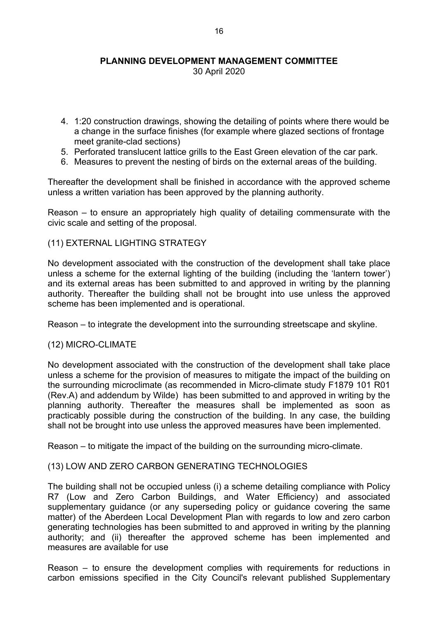30 April 2020

- 4. 1:20 construction drawings, showing the detailing of points where there would be a change in the surface finishes (for example where glazed sections of frontage meet granite-clad sections)
- 5. Perforated translucent lattice grills to the East Green elevation of the car park.
- 6. Measures to prevent the nesting of birds on the external areas of the building.

Thereafter the development shall be finished in accordance with the approved scheme unless a written variation has been approved by the planning authority.

Reason – to ensure an appropriately high quality of detailing commensurate with the civic scale and setting of the proposal.

#### (11) EXTERNAL LIGHTING STRATEGY

No development associated with the construction of the development shall take place unless a scheme for the external lighting of the building (including the 'lantern tower') and its external areas has been submitted to and approved in writing by the planning authority. Thereafter the building shall not be brought into use unless the approved scheme has been implemented and is operational.

Reason – to integrate the development into the surrounding streetscape and skyline.

## (12) MICRO-CLIMATE

No development associated with the construction of the development shall take place unless a scheme for the provision of measures to mitigate the impact of the building on the surrounding microclimate (as recommended in Micro-climate study F1879 101 R01 (Rev.A) and addendum by Wilde) has been submitted to and approved in writing by the planning authority. Thereafter the measures shall be implemented as soon as practicably possible during the construction of the building. In any case, the building shall not be brought into use unless the approved measures have been implemented.

Reason – to mitigate the impact of the building on the surrounding micro-climate.

## (13) LOW AND ZERO CARBON GENERATING TECHNOLOGIES

The building shall not be occupied unless (i) a scheme detailing compliance with Policy R7 (Low and Zero Carbon Buildings, and Water Efficiency) and associated supplementary guidance (or any superseding policy or guidance covering the same matter) of the Aberdeen Local Development Plan with regards to low and zero carbon generating technologies has been submitted to and approved in writing by the planning authority; and (ii) thereafter the approved scheme has been implemented and measures are available for use

Reason – to ensure the development complies with requirements for reductions in carbon emissions specified in the City Council's relevant published Supplementary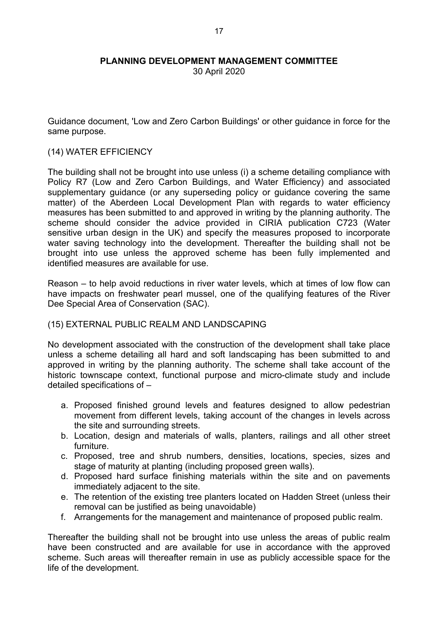30 April 2020

Guidance document, 'Low and Zero Carbon Buildings' or other guidance in force for the same purpose.

#### (14) WATER EFFICIENCY

The building shall not be brought into use unless (i) a scheme detailing compliance with Policy R7 (Low and Zero Carbon Buildings, and Water Efficiency) and associated supplementary guidance (or any superseding policy or guidance covering the same matter) of the Aberdeen Local Development Plan with regards to water efficiency measures has been submitted to and approved in writing by the planning authority. The scheme should consider the advice provided in CIRIA publication C723 (Water sensitive urban design in the UK) and specify the measures proposed to incorporate water saving technology into the development. Thereafter the building shall not be brought into use unless the approved scheme has been fully implemented and identified measures are available for use.

Reason – to help avoid reductions in river water levels, which at times of low flow can have impacts on freshwater pearl mussel, one of the qualifying features of the River Dee Special Area of Conservation (SAC).

## (15) EXTERNAL PUBLIC REALM AND LANDSCAPING

No development associated with the construction of the development shall take place unless a scheme detailing all hard and soft landscaping has been submitted to and approved in writing by the planning authority. The scheme shall take account of the historic townscape context, functional purpose and micro-climate study and include detailed specifications of –

- a. Proposed finished ground levels and features designed to allow pedestrian movement from different levels, taking account of the changes in levels across the site and surrounding streets.
- b. Location, design and materials of walls, planters, railings and all other street furniture.
- c. Proposed, tree and shrub numbers, densities, locations, species, sizes and stage of maturity at planting (including proposed green walls).
- d. Proposed hard surface finishing materials within the site and on pavements immediately adjacent to the site.
- e. The retention of the existing tree planters located on Hadden Street (unless their removal can be justified as being unavoidable)
- f. Arrangements for the management and maintenance of proposed public realm.

Thereafter the building shall not be brought into use unless the areas of public realm have been constructed and are available for use in accordance with the approved scheme. Such areas will thereafter remain in use as publicly accessible space for the life of the development.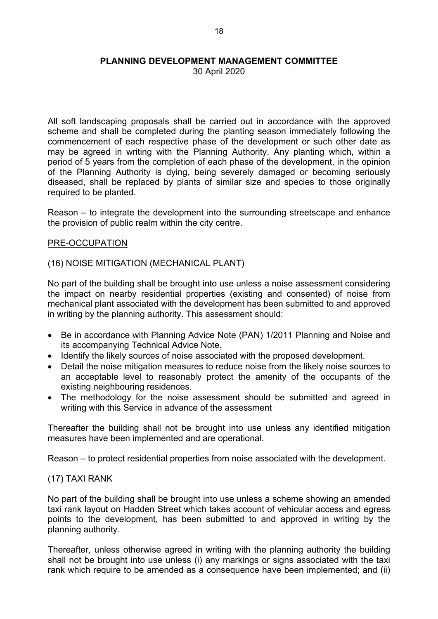30 April 2020

All soft landscaping proposals shall be carried out in accordance with the approved scheme and shall be completed during the planting season immediately following the commencement of each respective phase of the development or such other date as may be agreed in writing with the Planning Authority. Any planting which, within a period of 5 years from the completion of each phase of the development, in the opinion of the Planning Authority is dying, being severely damaged or becoming seriously diseased, shall be replaced by plants of similar size and species to those originally required to be planted.

Reason – to integrate the development into the surrounding streetscape and enhance the provision of public realm within the city centre.

#### PRE-OCCUPATION

#### (16) NOISE MITIGATION (MECHANICAL PLANT)

No part of the building shall be brought into use unless a noise assessment considering the impact on nearby residential properties (existing and consented) of noise from mechanical plant associated with the development has been submitted to and approved in writing by the planning authority. This assessment should:

- Be in accordance with Planning Advice Note (PAN) 1/2011 Planning and Noise and its accompanying Technical Advice Note.
- Identify the likely sources of noise associated with the proposed development.
- Detail the noise mitigation measures to reduce noise from the likely noise sources to an acceptable level to reasonably protect the amenity of the occupants of the existing neighbouring residences.
- The methodology for the noise assessment should be submitted and agreed in writing with this Service in advance of the assessment

Thereafter the building shall not be brought into use unless any identified mitigation measures have been implemented and are operational.

Reason – to protect residential properties from noise associated with the development.

## (17) TAXI RANK

No part of the building shall be brought into use unless a scheme showing an amended taxi rank layout on Hadden Street which takes account of vehicular access and egress points to the development, has been submitted to and approved in writing by the planning authority.

Thereafter, unless otherwise agreed in writing with the planning authority the building shall not be brought into use unless (i) any markings or signs associated with the taxi rank which require to be amended as a consequence have been implemented; and (ii)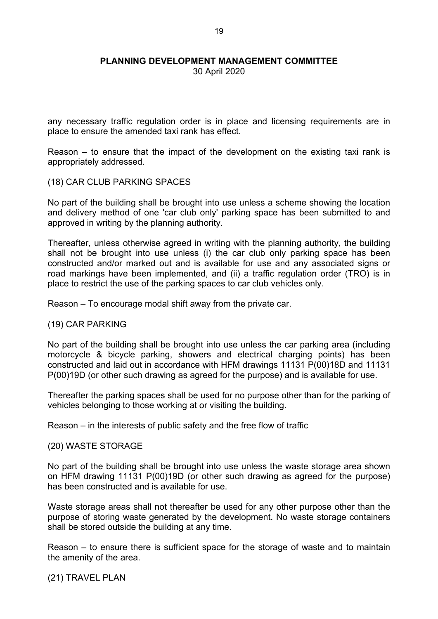30 April 2020

any necessary traffic regulation order is in place and licensing requirements are in place to ensure the amended taxi rank has effect.

Reason – to ensure that the impact of the development on the existing taxi rank is appropriately addressed.

#### (18) CAR CLUB PARKING SPACES

No part of the building shall be brought into use unless a scheme showing the location and delivery method of one 'car club only' parking space has been submitted to and approved in writing by the planning authority.

Thereafter, unless otherwise agreed in writing with the planning authority, the building shall not be brought into use unless (i) the car club only parking space has been constructed and/or marked out and is available for use and any associated signs or road markings have been implemented, and (ii) a traffic regulation order (TRO) is in place to restrict the use of the parking spaces to car club vehicles only.

Reason – To encourage modal shift away from the private car.

#### (19) CAR PARKING

No part of the building shall be brought into use unless the car parking area (including motorcycle & bicycle parking, showers and electrical charging points) has been constructed and laid out in accordance with HFM drawings 11131 P(00)18D and 11131 P(00)19D (or other such drawing as agreed for the purpose) and is available for use.

Thereafter the parking spaces shall be used for no purpose other than for the parking of vehicles belonging to those working at or visiting the building.

Reason – in the interests of public safety and the free flow of traffic

#### (20) WASTE STORAGE

No part of the building shall be brought into use unless the waste storage area shown on HFM drawing 11131 P(00)19D (or other such drawing as agreed for the purpose) has been constructed and is available for use.

Waste storage areas shall not thereafter be used for any other purpose other than the purpose of storing waste generated by the development. No waste storage containers shall be stored outside the building at any time.

Reason – to ensure there is sufficient space for the storage of waste and to maintain the amenity of the area.

(21) TRAVEL PLAN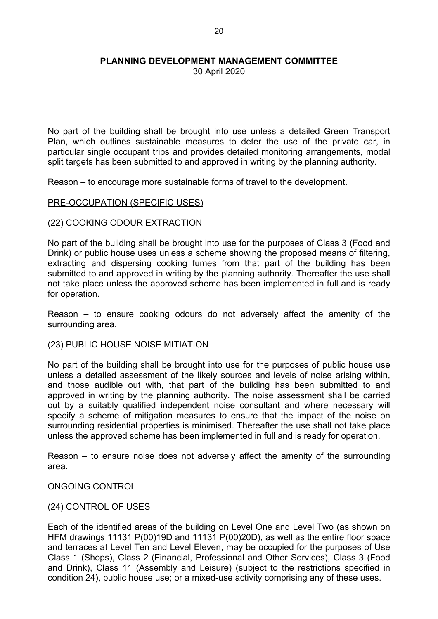30 April 2020

No part of the building shall be brought into use unless a detailed Green Transport Plan, which outlines sustainable measures to deter the use of the private car, in particular single occupant trips and provides detailed monitoring arrangements, modal split targets has been submitted to and approved in writing by the planning authority.

Reason – to encourage more sustainable forms of travel to the development.

#### PRE-OCCUPATION (SPECIFIC USES)

#### (22) COOKING ODOUR EXTRACTION

No part of the building shall be brought into use for the purposes of Class 3 (Food and Drink) or public house uses unless a scheme showing the proposed means of filtering, extracting and dispersing cooking fumes from that part of the building has been submitted to and approved in writing by the planning authority. Thereafter the use shall not take place unless the approved scheme has been implemented in full and is ready for operation.

Reason – to ensure cooking odours do not adversely affect the amenity of the surrounding area.

(23) PUBLIC HOUSE NOISE MITIATION

No part of the building shall be brought into use for the purposes of public house use unless a detailed assessment of the likely sources and levels of noise arising within, and those audible out with, that part of the building has been submitted to and approved in writing by the planning authority. The noise assessment shall be carried out by a suitably qualified independent noise consultant and where necessary will specify a scheme of mitigation measures to ensure that the impact of the noise on surrounding residential properties is minimised. Thereafter the use shall not take place unless the approved scheme has been implemented in full and is ready for operation.

Reason – to ensure noise does not adversely affect the amenity of the surrounding area.

## ONGOING CONTROL

## (24) CONTROL OF USES

Each of the identified areas of the building on Level One and Level Two (as shown on HFM drawings 11131 P(00)19D and 11131 P(00)20D), as well as the entire floor space and terraces at Level Ten and Level Eleven, may be occupied for the purposes of Use Class 1 (Shops), Class 2 (Financial, Professional and Other Services), Class 3 (Food and Drink), Class 11 (Assembly and Leisure) (subject to the restrictions specified in condition 24), public house use; or a mixed-use activity comprising any of these uses.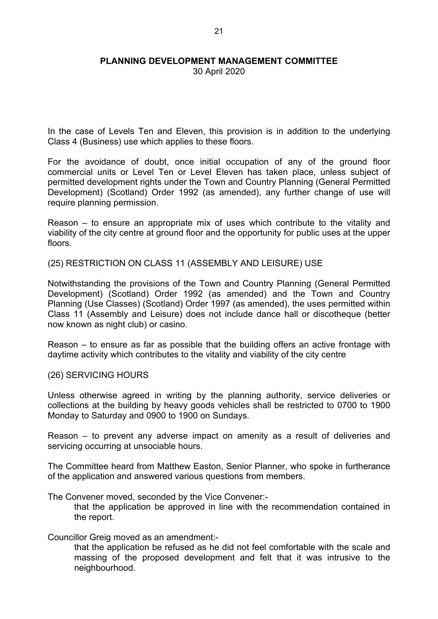30 April 2020

In the case of Levels Ten and Eleven, this provision is in addition to the underlying Class 4 (Business) use which applies to these floors.

For the avoidance of doubt, once initial occupation of any of the ground floor commercial units or Level Ten or Level Eleven has taken place, unless subject of permitted development rights under the Town and Country Planning (General Permitted Development) (Scotland) Order 1992 (as amended), any further change of use will require planning permission.

Reason – to ensure an appropriate mix of uses which contribute to the vitality and viability of the city centre at ground floor and the opportunity for public uses at the upper floors.

(25) RESTRICTION ON CLASS 11 (ASSEMBLY AND LEISURE) USE

Notwithstanding the provisions of the Town and Country Planning (General Permitted Development) (Scotland) Order 1992 (as amended) and the Town and Country Planning (Use Classes) (Scotland) Order 1997 (as amended), the uses permitted within Class 11 (Assembly and Leisure) does not include dance hall or discotheque (better now known as night club) or casino.

Reason – to ensure as far as possible that the building offers an active frontage with daytime activity which contributes to the vitality and viability of the city centre

#### (26) SERVICING HOURS

Unless otherwise agreed in writing by the planning authority, service deliveries or collections at the building by heavy goods vehicles shall be restricted to 0700 to 1900 Monday to Saturday and 0900 to 1900 on Sundays.

Reason – to prevent any adverse impact on amenity as a result of deliveries and servicing occurring at unsociable hours.

The Committee heard from Matthew Easton, Senior Planner, who spoke in furtherance of the application and answered various questions from members.

The Convener moved, seconded by the Vice Convener:-

that the application be approved in line with the recommendation contained in the report.

## Councillor Greig moved as an amendment:-

that the application be refused as he did not feel comfortable with the scale and massing of the proposed development and felt that it was intrusive to the neighbourhood.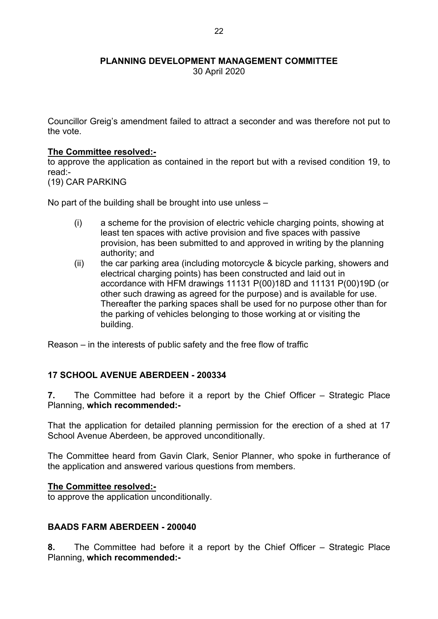30 April 2020

Councillor Greig's amendment failed to attract a seconder and was therefore not put to the vote.

## **The Committee resolved:-**

to approve the application as contained in the report but with a revised condition 19, to read:-

(19) CAR PARKING

No part of the building shall be brought into use unless –

- (i) a scheme for the provision of electric vehicle charging points, showing at least ten spaces with active provision and five spaces with passive provision, has been submitted to and approved in writing by the planning authority; and
- (ii) the car parking area (including motorcycle & bicycle parking, showers and electrical charging points) has been constructed and laid out in accordance with HFM drawings 11131 P(00)18D and 11131 P(00)19D (or other such drawing as agreed for the purpose) and is available for use. Thereafter the parking spaces shall be used for no purpose other than for the parking of vehicles belonging to those working at or visiting the building.

Reason – in the interests of public safety and the free flow of traffic

## **17 SCHOOL AVENUE ABERDEEN - 200334**

**7.** The Committee had before it a report by the Chief Officer – Strategic Place Planning, **which recommended:-**

That the application for detailed planning permission for the erection of a shed at 17 School Avenue Aberdeen, be approved unconditionally.

The Committee heard from Gavin Clark, Senior Planner, who spoke in furtherance of the application and answered various questions from members.

#### **The Committee resolved:-**

to approve the application unconditionally.

## **BAADS FARM ABERDEEN - 200040**

**8.** The Committee had before it a report by the Chief Officer – Strategic Place Planning, **which recommended:-**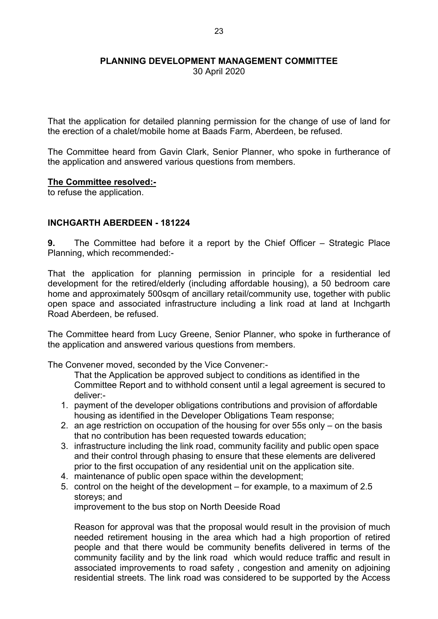30 April 2020

That the application for detailed planning permission for the change of use of land for the erection of a chalet/mobile home at Baads Farm, Aberdeen, be refused.

The Committee heard from Gavin Clark, Senior Planner, who spoke in furtherance of the application and answered various questions from members.

#### **The Committee resolved:-**

to refuse the application.

# **INCHGARTH ABERDEEN - 181224**

**9.** The Committee had before it a report by the Chief Officer – Strategic Place Planning, which recommended:-

That the application for planning permission in principle for a residential led development for the retired/elderly (including affordable housing), a 50 bedroom care home and approximately 500sqm of ancillary retail/community use, together with public open space and associated infrastructure including a link road at land at Inchgarth Road Aberdeen, be refused.

The Committee heard from Lucy Greene, Senior Planner, who spoke in furtherance of the application and answered various questions from members.

The Convener moved, seconded by the Vice Convener:-

That the Application be approved subject to conditions as identified in the Committee Report and to withhold consent until a legal agreement is secured to deliver:-

- 1. payment of the developer obligations contributions and provision of affordable housing as identified in the Developer Obligations Team response;
- 2. an age restriction on occupation of the housing for over 55s only on the basis that no contribution has been requested towards education;
- 3. infrastructure including the link road, community facility and public open space and their control through phasing to ensure that these elements are delivered prior to the first occupation of any residential unit on the application site.
- 4. maintenance of public open space within the development;
- 5. control on the height of the development for example, to a maximum of 2.5 storeys; and

improvement to the bus stop on North Deeside Road

Reason for approval was that the proposal would result in the provision of much needed retirement housing in the area which had a high proportion of retired people and that there would be community benefits delivered in terms of the community facility and by the link road which would reduce traffic and result in associated improvements to road safety , congestion and amenity on adjoining residential streets. The link road was considered to be supported by the Access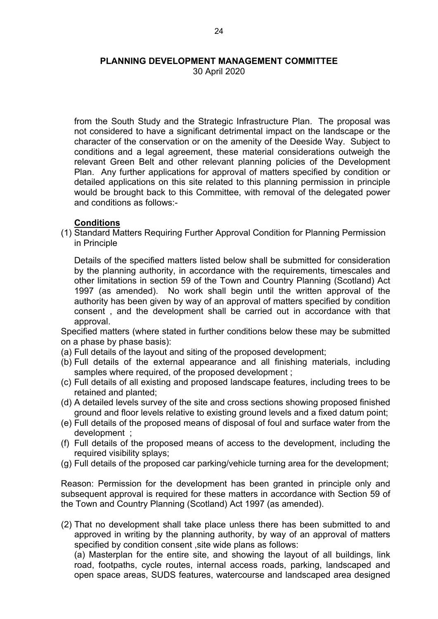30 April 2020

from the South Study and the Strategic Infrastructure Plan. The proposal was not considered to have a significant detrimental impact on the landscape or the character of the conservation or on the amenity of the Deeside Way. Subject to conditions and a legal agreement, these material considerations outweigh the relevant Green Belt and other relevant planning policies of the Development Plan. Any further applications for approval of matters specified by condition or detailed applications on this site related to this planning permission in principle would be brought back to this Committee, with removal of the delegated power and conditions as follows:-

#### **Conditions**

(1) Standard Matters Requiring Further Approval Condition for Planning Permission in Principle

Details of the specified matters listed below shall be submitted for consideration by the planning authority, in accordance with the requirements, timescales and other limitations in section 59 of the Town and Country Planning (Scotland) Act 1997 (as amended). No work shall begin until the written approval of the authority has been given by way of an approval of matters specified by condition consent , and the development shall be carried out in accordance with that approval.

Specified matters (where stated in further conditions below these may be submitted on a phase by phase basis):

- (a) Full details of the layout and siting of the proposed development;
- (b) Full details of the external appearance and all finishing materials, including samples where required, of the proposed development ;
- (c) Full details of all existing and proposed landscape features, including trees to be retained and planted;
- (d) A detailed levels survey of the site and cross sections showing proposed finished ground and floor levels relative to existing ground levels and a fixed datum point;
- (e) Full details of the proposed means of disposal of foul and surface water from the development ;
- (f) Full details of the proposed means of access to the development, including the required visibility splays;
- (g) Full details of the proposed car parking/vehicle turning area for the development;

Reason: Permission for the development has been granted in principle only and subsequent approval is required for these matters in accordance with Section 59 of the Town and Country Planning (Scotland) Act 1997 (as amended).

(2) That no development shall take place unless there has been submitted to and approved in writing by the planning authority, by way of an approval of matters specified by condition consent ,site wide plans as follows:

(a) Masterplan for the entire site, and showing the layout of all buildings, link road, footpaths, cycle routes, internal access roads, parking, landscaped and open space areas, SUDS features, watercourse and landscaped area designed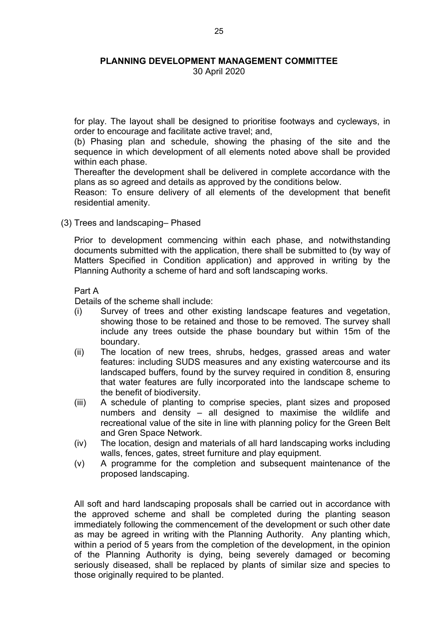30 April 2020

for play. The layout shall be designed to prioritise footways and cycleways, in order to encourage and facilitate active travel; and,

(b) Phasing plan and schedule, showing the phasing of the site and the sequence in which development of all elements noted above shall be provided within each phase.

Thereafter the development shall be delivered in complete accordance with the plans as so agreed and details as approved by the conditions below.

Reason: To ensure delivery of all elements of the development that benefit residential amenity.

(3) Trees and landscaping– Phased

Prior to development commencing within each phase, and notwithstanding documents submitted with the application, there shall be submitted to (by way of Matters Specified in Condition application) and approved in writing by the Planning Authority a scheme of hard and soft landscaping works.

#### Part A

Details of the scheme shall include:

- (i) Survey of trees and other existing landscape features and vegetation, showing those to be retained and those to be removed. The survey shall include any trees outside the phase boundary but within 15m of the boundary.
- (ii) The location of new trees, shrubs, hedges, grassed areas and water features: including SUDS measures and any existing watercourse and its landscaped buffers, found by the survey required in condition 8, ensuring that water features are fully incorporated into the landscape scheme to the benefit of biodiversity.
- (iii) A schedule of planting to comprise species, plant sizes and proposed numbers and density – all designed to maximise the wildlife and recreational value of the site in line with planning policy for the Green Belt and Gren Space Network.
- (iv) The location, design and materials of all hard landscaping works including walls, fences, gates, street furniture and play equipment.
- (v) A programme for the completion and subsequent maintenance of the proposed landscaping.

All soft and hard landscaping proposals shall be carried out in accordance with the approved scheme and shall be completed during the planting season immediately following the commencement of the development or such other date as may be agreed in writing with the Planning Authority. Any planting which, within a period of 5 years from the completion of the development, in the opinion of the Planning Authority is dying, being severely damaged or becoming seriously diseased, shall be replaced by plants of similar size and species to those originally required to be planted.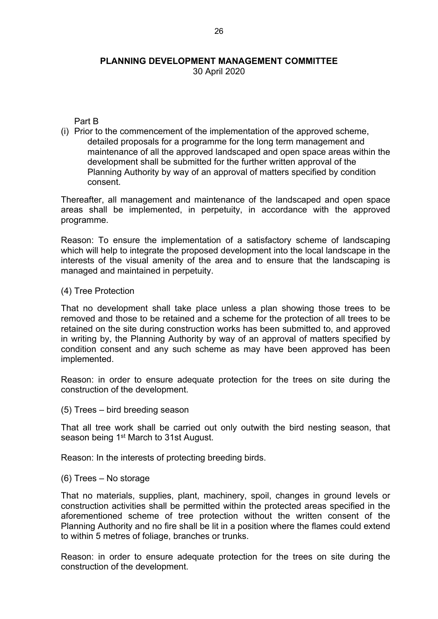30 April 2020

Part B

(i) Prior to the commencement of the implementation of the approved scheme, detailed proposals for a programme for the long term management and maintenance of all the approved landscaped and open space areas within the development shall be submitted for the further written approval of the Planning Authority by way of an approval of matters specified by condition consent.

Thereafter, all management and maintenance of the landscaped and open space areas shall be implemented, in perpetuity, in accordance with the approved programme.

Reason: To ensure the implementation of a satisfactory scheme of landscaping which will help to integrate the proposed development into the local landscape in the interests of the visual amenity of the area and to ensure that the landscaping is managed and maintained in perpetuity.

(4) Tree Protection

That no development shall take place unless a plan showing those trees to be removed and those to be retained and a scheme for the protection of all trees to be retained on the site during construction works has been submitted to, and approved in writing by, the Planning Authority by way of an approval of matters specified by condition consent and any such scheme as may have been approved has been implemented.

Reason: in order to ensure adequate protection for the trees on site during the construction of the development.

(5) Trees – bird breeding season

That all tree work shall be carried out only outwith the bird nesting season, that season being 1<sup>st</sup> March to 31st August.

Reason: In the interests of protecting breeding birds.

#### (6) Trees – No storage

That no materials, supplies, plant, machinery, spoil, changes in ground levels or construction activities shall be permitted within the protected areas specified in the aforementioned scheme of tree protection without the written consent of the Planning Authority and no fire shall be lit in a position where the flames could extend to within 5 metres of foliage, branches or trunks.

Reason: in order to ensure adequate protection for the trees on site during the construction of the development.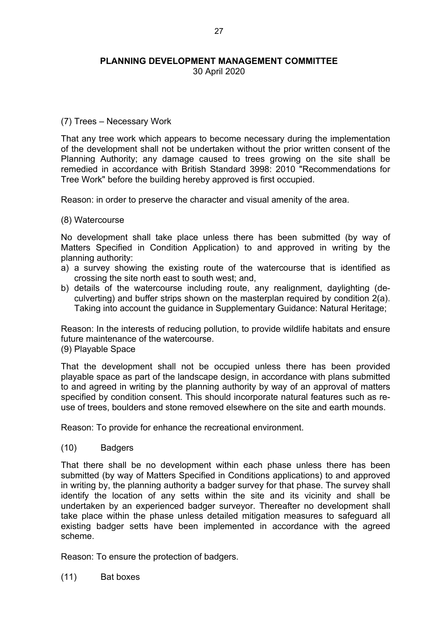30 April 2020

## (7) Trees – Necessary Work

That any tree work which appears to become necessary during the implementation of the development shall not be undertaken without the prior written consent of the Planning Authority; any damage caused to trees growing on the site shall be remedied in accordance with British Standard 3998: 2010 "Recommendations for Tree Work" before the building hereby approved is first occupied.

Reason: in order to preserve the character and visual amenity of the area.

(8) Watercourse

No development shall take place unless there has been submitted (by way of Matters Specified in Condition Application) to and approved in writing by the planning authority:

- a) a survey showing the existing route of the watercourse that is identified as crossing the site north east to south west; and,
- b) details of the watercourse including route, any realignment, daylighting (deculverting) and buffer strips shown on the masterplan required by condition 2(a). Taking into account the guidance in Supplementary Guidance: Natural Heritage;

Reason: In the interests of reducing pollution, to provide wildlife habitats and ensure future maintenance of the watercourse.

(9) Playable Space

That the development shall not be occupied unless there has been provided playable space as part of the landscape design, in accordance with plans submitted to and agreed in writing by the planning authority by way of an approval of matters specified by condition consent. This should incorporate natural features such as reuse of trees, boulders and stone removed elsewhere on the site and earth mounds.

Reason: To provide for enhance the recreational environment.

(10) Badgers

That there shall be no development within each phase unless there has been submitted (by way of Matters Specified in Conditions applications) to and approved in writing by, the planning authority a badger survey for that phase. The survey shall identify the location of any setts within the site and its vicinity and shall be undertaken by an experienced badger surveyor. Thereafter no development shall take place within the phase unless detailed mitigation measures to safeguard all existing badger setts have been implemented in accordance with the agreed scheme.

Reason: To ensure the protection of badgers.

(11) Bat boxes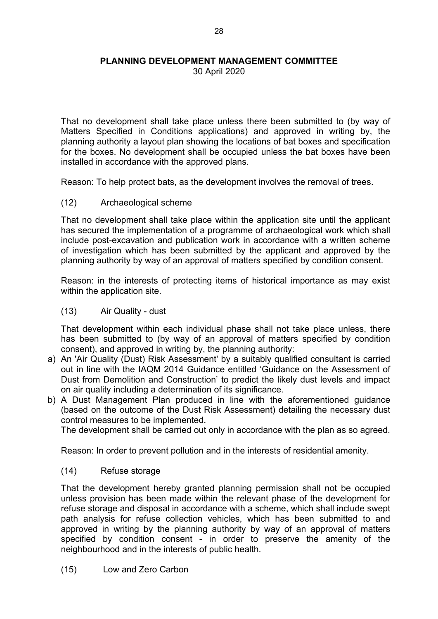30 April 2020

That no development shall take place unless there been submitted to (by way of Matters Specified in Conditions applications) and approved in writing by, the planning authority a layout plan showing the locations of bat boxes and specification for the boxes. No development shall be occupied unless the bat boxes have been installed in accordance with the approved plans.

Reason: To help protect bats, as the development involves the removal of trees.

(12) Archaeological scheme

That no development shall take place within the application site until the applicant has secured the implementation of a programme of archaeological work which shall include post-excavation and publication work in accordance with a written scheme of investigation which has been submitted by the applicant and approved by the planning authority by way of an approval of matters specified by condition consent.

Reason: in the interests of protecting items of historical importance as may exist within the application site.

(13) Air Quality - dust

That development within each individual phase shall not take place unless, there has been submitted to (by way of an approval of matters specified by condition consent), and approved in writing by, the planning authority:

- a) An 'Air Quality (Dust) Risk Assessment' by a suitably qualified consultant is carried out in line with the IAQM 2014 Guidance entitled 'Guidance on the Assessment of Dust from Demolition and Construction' to predict the likely dust levels and impact on air quality including a determination of its significance.
- b) A Dust Management Plan produced in line with the aforementioned guidance (based on the outcome of the Dust Risk Assessment) detailing the necessary dust control measures to be implemented.

The development shall be carried out only in accordance with the plan as so agreed.

Reason: In order to prevent pollution and in the interests of residential amenity.

(14) Refuse storage

That the development hereby granted planning permission shall not be occupied unless provision has been made within the relevant phase of the development for refuse storage and disposal in accordance with a scheme, which shall include swept path analysis for refuse collection vehicles, which has been submitted to and approved in writing by the planning authority by way of an approval of matters specified by condition consent - in order to preserve the amenity of the neighbourhood and in the interests of public health.

(15) Low and Zero Carbon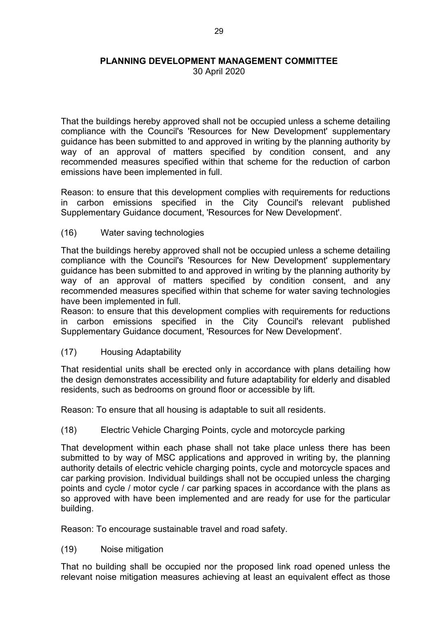30 April 2020

That the buildings hereby approved shall not be occupied unless a scheme detailing compliance with the Council's 'Resources for New Development' supplementary guidance has been submitted to and approved in writing by the planning authority by way of an approval of matters specified by condition consent, and any recommended measures specified within that scheme for the reduction of carbon emissions have been implemented in full.

Reason: to ensure that this development complies with requirements for reductions in carbon emissions specified in the City Council's relevant published Supplementary Guidance document, 'Resources for New Development'.

(16) Water saving technologies

That the buildings hereby approved shall not be occupied unless a scheme detailing compliance with the Council's 'Resources for New Development' supplementary guidance has been submitted to and approved in writing by the planning authority by way of an approval of matters specified by condition consent, and any recommended measures specified within that scheme for water saving technologies have been implemented in full.

Reason: to ensure that this development complies with requirements for reductions in carbon emissions specified in the City Council's relevant published Supplementary Guidance document, 'Resources for New Development'.

(17) Housing Adaptability

That residential units shall be erected only in accordance with plans detailing how the design demonstrates accessibility and future adaptability for elderly and disabled residents, such as bedrooms on ground floor or accessible by lift.

Reason: To ensure that all housing is adaptable to suit all residents.

(18) Electric Vehicle Charging Points, cycle and motorcycle parking

That development within each phase shall not take place unless there has been submitted to by way of MSC applications and approved in writing by, the planning authority details of electric vehicle charging points, cycle and motorcycle spaces and car parking provision. Individual buildings shall not be occupied unless the charging points and cycle / motor cycle / car parking spaces in accordance with the plans as so approved with have been implemented and are ready for use for the particular building.

Reason: To encourage sustainable travel and road safety.

(19) Noise mitigation

That no building shall be occupied nor the proposed link road opened unless the relevant noise mitigation measures achieving at least an equivalent effect as those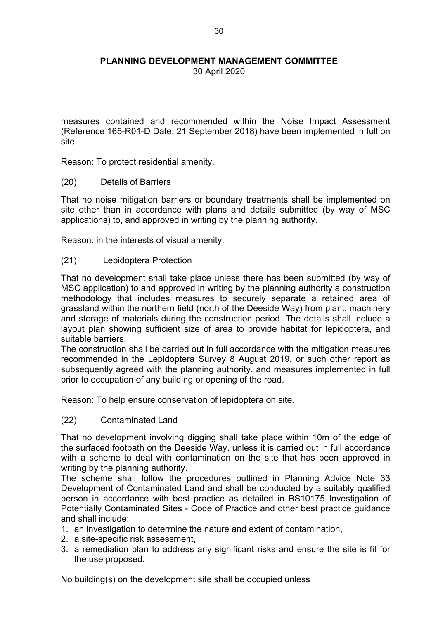30 April 2020

measures contained and recommended within the Noise Impact Assessment (Reference 165-R01-D Date: 21 September 2018) have been implemented in full on site.

Reason: To protect residential amenity.

(20) Details of Barriers

That no noise mitigation barriers or boundary treatments shall be implemented on site other than in accordance with plans and details submitted (by way of MSC applications) to, and approved in writing by the planning authority.

Reason: in the interests of visual amenity.

# (21) Lepidoptera Protection

That no development shall take place unless there has been submitted (by way of MSC application) to and approved in writing by the planning authority a construction methodology that includes measures to securely separate a retained area of grassland within the northern field (north of the Deeside Way) from plant, machinery and storage of materials during the construction period. The details shall include a layout plan showing sufficient size of area to provide habitat for lepidoptera, and suitable barriers.

The construction shall be carried out in full accordance with the mitigation measures recommended in the Lepidoptera Survey 8 August 2019, or such other report as subsequently agreed with the planning authority, and measures implemented in full prior to occupation of any building or opening of the road.

Reason: To help ensure conservation of lepidoptera on site.

(22) Contaminated Land

That no development involving digging shall take place within 10m of the edge of the surfaced footpath on the Deeside Way, unless it is carried out in full accordance with a scheme to deal with contamination on the site that has been approved in writing by the planning authority.

The scheme shall follow the procedures outlined in Planning Advice Note 33 Development of Contaminated Land and shall be conducted by a suitably qualified person in accordance with best practice as detailed in BS10175 Investigation of Potentially Contaminated Sites - Code of Practice and other best practice guidance and shall include:

- 1. an investigation to determine the nature and extent of contamination,
- 2. a site-specific risk assessment,
- 3. a remediation plan to address any significant risks and ensure the site is fit for the use proposed.

No building(s) on the development site shall be occupied unless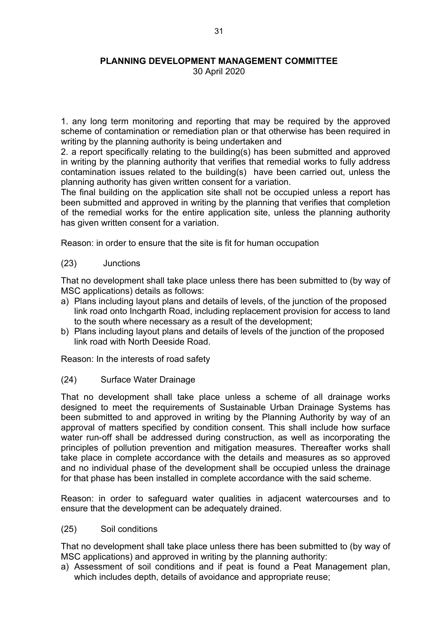30 April 2020

1. any long term monitoring and reporting that may be required by the approved scheme of contamination or remediation plan or that otherwise has been required in writing by the planning authority is being undertaken and

2. a report specifically relating to the building(s) has been submitted and approved in writing by the planning authority that verifies that remedial works to fully address contamination issues related to the building(s) have been carried out, unless the planning authority has given written consent for a variation.

The final building on the application site shall not be occupied unless a report has been submitted and approved in writing by the planning that verifies that completion of the remedial works for the entire application site, unless the planning authority has given written consent for a variation.

Reason: in order to ensure that the site is fit for human occupation

(23) Junctions

That no development shall take place unless there has been submitted to (by way of MSC applications) details as follows:

- a) Plans including layout plans and details of levels, of the junction of the proposed link road onto Inchgarth Road, including replacement provision for access to land to the south where necessary as a result of the development;
- b) Plans including layout plans and details of levels of the junction of the proposed link road with North Deeside Road.

Reason: In the interests of road safety

(24) Surface Water Drainage

That no development shall take place unless a scheme of all drainage works designed to meet the requirements of Sustainable Urban Drainage Systems has been submitted to and approved in writing by the Planning Authority by way of an approval of matters specified by condition consent. This shall include how surface water run-off shall be addressed during construction, as well as incorporating the principles of pollution prevention and mitigation measures. Thereafter works shall take place in complete accordance with the details and measures as so approved and no individual phase of the development shall be occupied unless the drainage for that phase has been installed in complete accordance with the said scheme.

Reason: in order to safeguard water qualities in adjacent watercourses and to ensure that the development can be adequately drained.

(25) Soil conditions

That no development shall take place unless there has been submitted to (by way of MSC applications) and approved in writing by the planning authority:

a) Assessment of soil conditions and if peat is found a Peat Management plan, which includes depth, details of avoidance and appropriate reuse;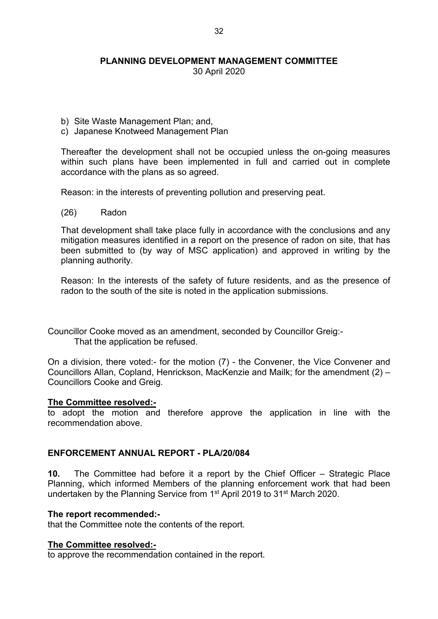30 April 2020

- b) Site Waste Management Plan; and,
- c) Japanese Knotweed Management Plan

Thereafter the development shall not be occupied unless the on-going measures within such plans have been implemented in full and carried out in complete accordance with the plans as so agreed.

Reason: in the interests of preventing pollution and preserving peat.

(26) Radon

That development shall take place fully in accordance with the conclusions and any mitigation measures identified in a report on the presence of radon on site, that has been submitted to (by way of MSC application) and approved in writing by the planning authority.

Reason: In the interests of the safety of future residents, and as the presence of radon to the south of the site is noted in the application submissions.

Councillor Cooke moved as an amendment, seconded by Councillor Greig:- That the application be refused.

On a division, there voted:- for the motion (7) - the Convener, the Vice Convener and Councillors Allan, Copland, Henrickson, MacKenzie and Mailk; for the amendment (2) – Councillors Cooke and Greig.

#### **The Committee resolved:-**

to adopt the motion and therefore approve the application in line with the recommendation above.

## **ENFORCEMENT ANNUAL REPORT - PLA/20/084**

**10.** The Committee had before it a report by the Chief Officer – Strategic Place Planning, which informed Members of the planning enforcement work that had been undertaken by the Planning Service from 1<sup>st</sup> April 2019 to 31<sup>st</sup> March 2020.

#### **The report recommended:-**

that the Committee note the contents of the report.

#### **The Committee resolved:-**

to approve the recommendation contained in the report.